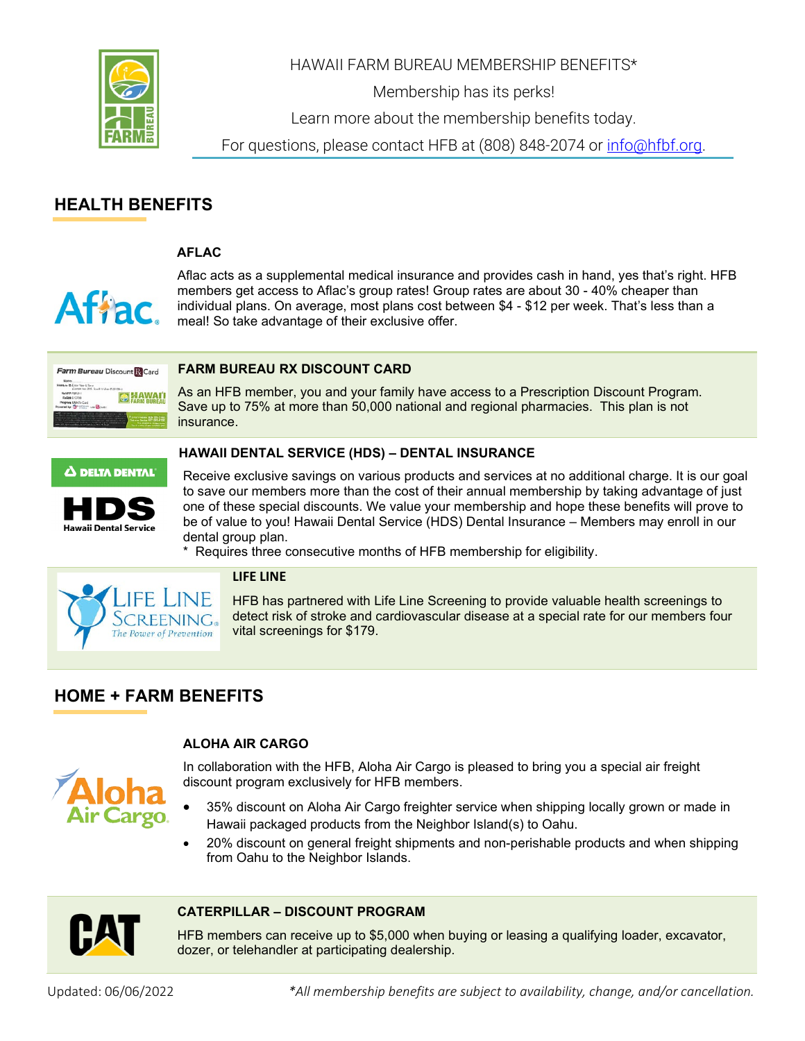

HAWAII FARM BUREAU MEMBERSHIP BENEFITS\*

Membership has its perks!

Learn more about the membership benefits today.

For questions, please contact HFB at (808) 848-2074 or [info@hfbf.org.](mailto:info@hfbf.org)

# **HEALTH BENEFITS**

**O HAWA** 

#### **AFLAC**



Aflac acts as a supplemental medical insurance and provides cash in hand, yes that's right. HFB members get access to Aflac's group rates! Group rates are about 30 - 40% cheaper than individual plans. On average, most plans cost between \$4 - \$12 per week. That's less than a meal! So take advantage of their exclusive offer.

#### **[FARM](http://www.fbcountry.com/prescription) BUREAU RX DISCOUNT CARD** Farm Bureau Discount R Card

As an HFB member, you and your family have access to a Prescription Discount Program. Save up to 75% at more than 50,000 national and regional pharmacies. This plan is not insurance.

#### $\Delta$  delta dental



Receive exclusive savings on various products and services at no additional charge. It is our goal to save our members more than the cost of their annual membership by taking advantage of just one of these special discounts. We value your membership and hope these benefits will prove to be of value to you! Hawaii Dental Service (HDS) Dental Insurance – Members may enroll in our dental group plan.

\* Requires three consecutive months of HFB membership for eligibility.

**HAWAII DENTAL SERVICE (HDS) – DENTAL INSURANCE**



#### **LIFE LINE**

HFB has partnered with Life Line Screening to provide valuable health screenings to detect risk of stroke and cardiovascular disease at a special rate for our members four vital screenings for \$179.

# **HOME + FARM BENEFITS**

## **ALOHA AIR CARGO**



In collaboration with the HFB, Aloha Air Cargo is pleased to bring you a special air freight discount program exclusively for HFB members.

- 35% discount on Aloha Air Cargo freighter service when shipping locally grown or made in Hawaii packaged products from the Neighbor Island(s) to Oahu.
- 20% discount on general freight shipments and non-perishable products and when shipping from Oahu to the Neighbor Islands.



#### **CATERPILLAR – DISCOUNT PROGRAM**

HFB members can receive up to \$5,000 when buying or leasing a qualifying loader, excavator, dozer, or telehandler at participating dealership.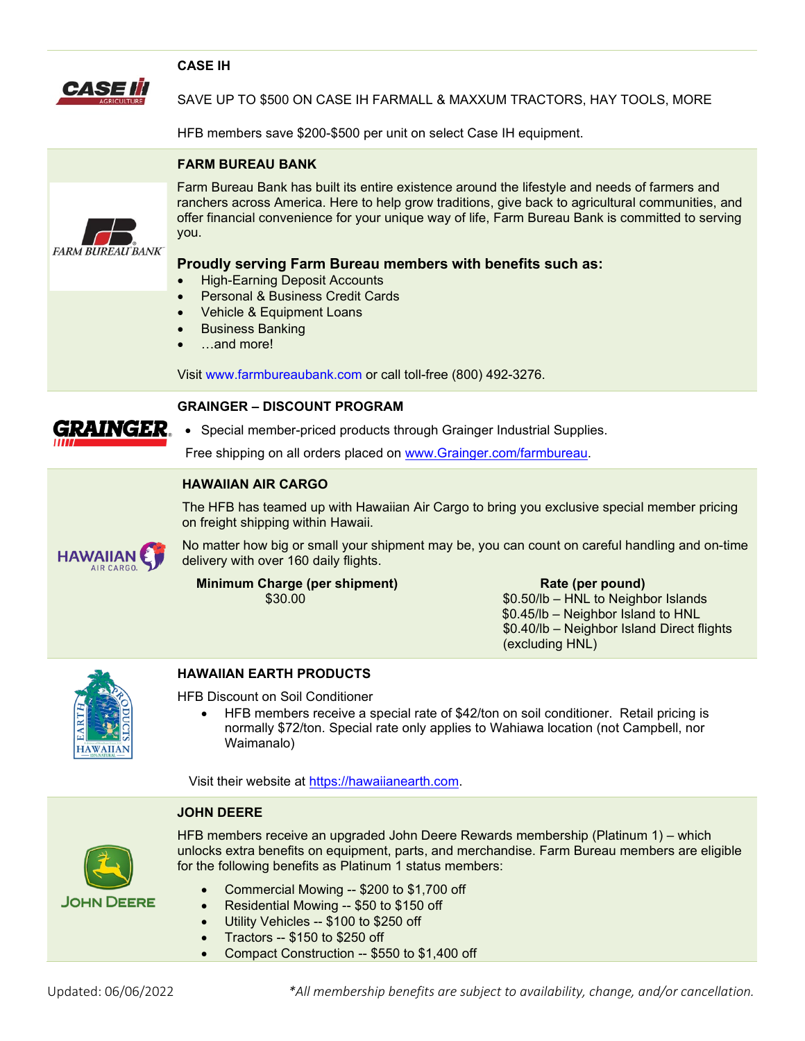|                  | <b>CASE IH</b>                                                                                                                                                                                                                                                                                                                                                                                                                                                                    |                                                                                                                                             |  |  |  |  |  |  |
|------------------|-----------------------------------------------------------------------------------------------------------------------------------------------------------------------------------------------------------------------------------------------------------------------------------------------------------------------------------------------------------------------------------------------------------------------------------------------------------------------------------|---------------------------------------------------------------------------------------------------------------------------------------------|--|--|--|--|--|--|
|                  | SAVE UP TO \$500 ON CASE IH FARMALL & MAXXUM TRACTORS, HAY TOOLS, MORE                                                                                                                                                                                                                                                                                                                                                                                                            |                                                                                                                                             |  |  |  |  |  |  |
|                  | HFB members save \$200-\$500 per unit on select Case IH equipment.                                                                                                                                                                                                                                                                                                                                                                                                                |                                                                                                                                             |  |  |  |  |  |  |
|                  | <b>FARM BUREAU BANK</b>                                                                                                                                                                                                                                                                                                                                                                                                                                                           |                                                                                                                                             |  |  |  |  |  |  |
| FARM BUREAU BANK | Farm Bureau Bank has built its entire existence around the lifestyle and needs of farmers and<br>ranchers across America. Here to help grow traditions, give back to agricultural communities, and<br>offer financial convenience for your unique way of life, Farm Bureau Bank is committed to serving<br>you.<br>Proudly serving Farm Bureau members with benefits such as:<br><b>High-Earning Deposit Accounts</b><br><b>Personal &amp; Business Credit Cards</b><br>$\bullet$ |                                                                                                                                             |  |  |  |  |  |  |
|                  | Vehicle & Equipment Loans<br>$\bullet$<br><b>Business Banking</b><br>$\bullet$<br>and more!                                                                                                                                                                                                                                                                                                                                                                                       |                                                                                                                                             |  |  |  |  |  |  |
|                  |                                                                                                                                                                                                                                                                                                                                                                                                                                                                                   |                                                                                                                                             |  |  |  |  |  |  |
|                  | Visit www.farmbureaubank.com or call toll-free (800) 492-3276.                                                                                                                                                                                                                                                                                                                                                                                                                    |                                                                                                                                             |  |  |  |  |  |  |
| GRAINGER.        | <b>GRAINGER - DISCOUNT PROGRAM</b>                                                                                                                                                                                                                                                                                                                                                                                                                                                |                                                                                                                                             |  |  |  |  |  |  |
|                  | • Special member-priced products through Grainger Industrial Supplies.                                                                                                                                                                                                                                                                                                                                                                                                            |                                                                                                                                             |  |  |  |  |  |  |
|                  | Free shipping on all orders placed on www.Grainger.com/farmbureau.                                                                                                                                                                                                                                                                                                                                                                                                                |                                                                                                                                             |  |  |  |  |  |  |
| <b>HAWAIIAN</b>  | <b>HAWAIIAN AIR CARGO</b>                                                                                                                                                                                                                                                                                                                                                                                                                                                         |                                                                                                                                             |  |  |  |  |  |  |
|                  | The HFB has teamed up with Hawaiian Air Cargo to bring you exclusive special member pricing<br>on freight shipping within Hawaii.                                                                                                                                                                                                                                                                                                                                                 |                                                                                                                                             |  |  |  |  |  |  |
|                  | No matter how big or small your shipment may be, you can count on careful handling and on-time<br>delivery with over 160 daily flights.                                                                                                                                                                                                                                                                                                                                           |                                                                                                                                             |  |  |  |  |  |  |
|                  | <b>Minimum Charge (per shipment)</b><br>\$30.00                                                                                                                                                                                                                                                                                                                                                                                                                                   | Rate (per pound)<br>\$0.50/lb - HNL to Neighbor Islands<br>\$0.45/lb - Neighbor Island to HNL<br>\$0.40/lb - Neighbor Island Direct flights |  |  |  |  |  |  |
|                  |                                                                                                                                                                                                                                                                                                                                                                                                                                                                                   | (excluding HNL)                                                                                                                             |  |  |  |  |  |  |
|                  | <b>HAWAIIAN EARTH PRODUCTS</b>                                                                                                                                                                                                                                                                                                                                                                                                                                                    |                                                                                                                                             |  |  |  |  |  |  |
| HAWAIIA          | <b>HFB Discount on Soil Conditioner</b><br>HFB members receive a special rate of \$42/ton on soil conditioner. Retail pricing is<br>$\bullet$<br>normally \$72/ton. Special rate only applies to Wahiawa location (not Campbell, nor<br>Waimanalo)                                                                                                                                                                                                                                |                                                                                                                                             |  |  |  |  |  |  |

**JOHN DEERE**



HFB members receive an upgraded John Deere Rewards membership (Platinum 1) – which unlocks extra benefits on equipment, parts, and merchandise. Farm Bureau members are eligible for the following benefits as Platinum 1 status members:

- Commercial Mowing -- \$200 to \$1,700 off
- Residential Mowing -- \$50 to \$150 off
- Utility Vehicles -- \$100 to \$250 off
- Tractors -- \$150 to \$250 off
- Compact Construction -- \$550 to \$1,400 off

Updated: 06/06/2022 *\*All membership benefits are subject to availability, change, and/or cancellation.*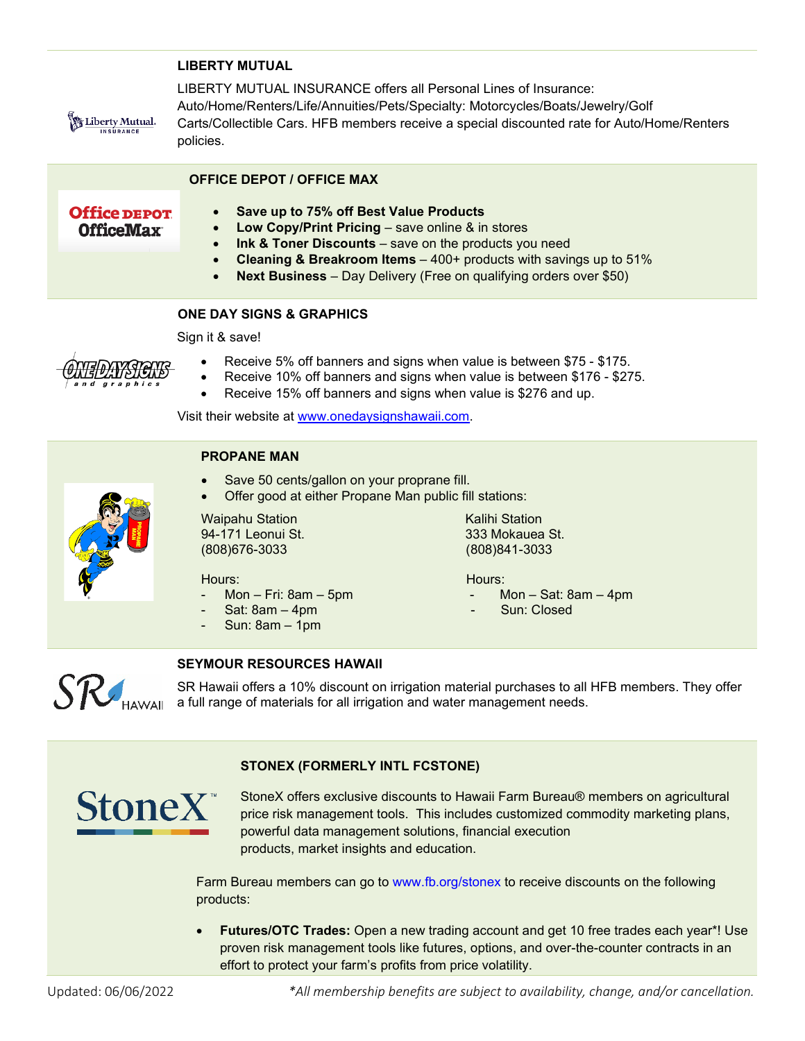#### **LIBERTY MUTUAL**

LIBERTY MUTUAL INSURANCE offers all Personal Lines of Insurance: Auto/Home/Renters/Life/Annuities/Pets/Specialty: Motorcycles/Boats/Jewelry/Golf Carts/Collectible Cars. HFB members receive a special discounted rate for Auto/Home/Renters policies.

#### **OFFICE DEPOT / OFFICE MAX**

**Office DEPOT** OfficeMax

Liberty Mutual. **INSURANCE** 

- **Save up to 75% off Best Value Products**
- **Low Copy/Print Pricing** save online & in stores
	- **Ink & Toner Discounts** save on the products you need
- **Cleaning & Breakroom Items** 400+ products with savings up to 51%
	- **Next Business** Day Delivery (Free on qualifying orders over \$50)

# **ONE DAY SIGNS & GRAPHICS**

Sign it & save!



- Receive 5% off banners and signs when value is between \$75 \$175.
- Receive 10% off banners and signs when value is between \$176 \$275.
- Receive 15% off banners and signs when value is \$276 and up.

Visit their website at [www.onedaysignshawaii.com.](http://www.onedaysignshawaii.com/)



## **PROPANE MAN**

- Save 50 cents/gallon on your proprane fill.
- Offer good at either Propane Man public fill stations:

Waipahu Station **Kalihi Station** Kalihi Station 94-171 Leonui St. 333 Mokauea St. (808)676-3033 (808)841-3033

#### Hours: Hours:

Mon – Fri: 8am – 5pm – Mon – Sat: 8am – 4pm

**SEYMOUR RESOURCES HAWAII**

- Sat: 8am 4pm Sun: Closed
- Sun: 8am 1pm



SR Hawaii offers a 10% discount on irrigation material purchases to all HFB members. They offer **a full range of materials for all irrigation and water management needs.**<br>A full range of materials for all irrigation and water management needs.

## **STONEX (FORMERLY INTL FCSTONE)**



StoneX offers exclusive discounts to Hawaii Farm Bureau® members on agricultural price risk management tools. This includes customized commodity marketing plans, powerful data management solutions, financial execution products, market insights and education.

Farm Bureau members can go to www.fb.org/stonex to receive discounts on the following products:

• **Futures/OTC Trades:** Open a new trading account and get 10 free trades each year\*! Use proven risk management tools like futures, options, and over-the-counter contracts in an effort to protect your farm's profits from price volatility.

Updated: 06/06/2022 *\*All membership benefits are subject to availability, change, and/or cancellation.*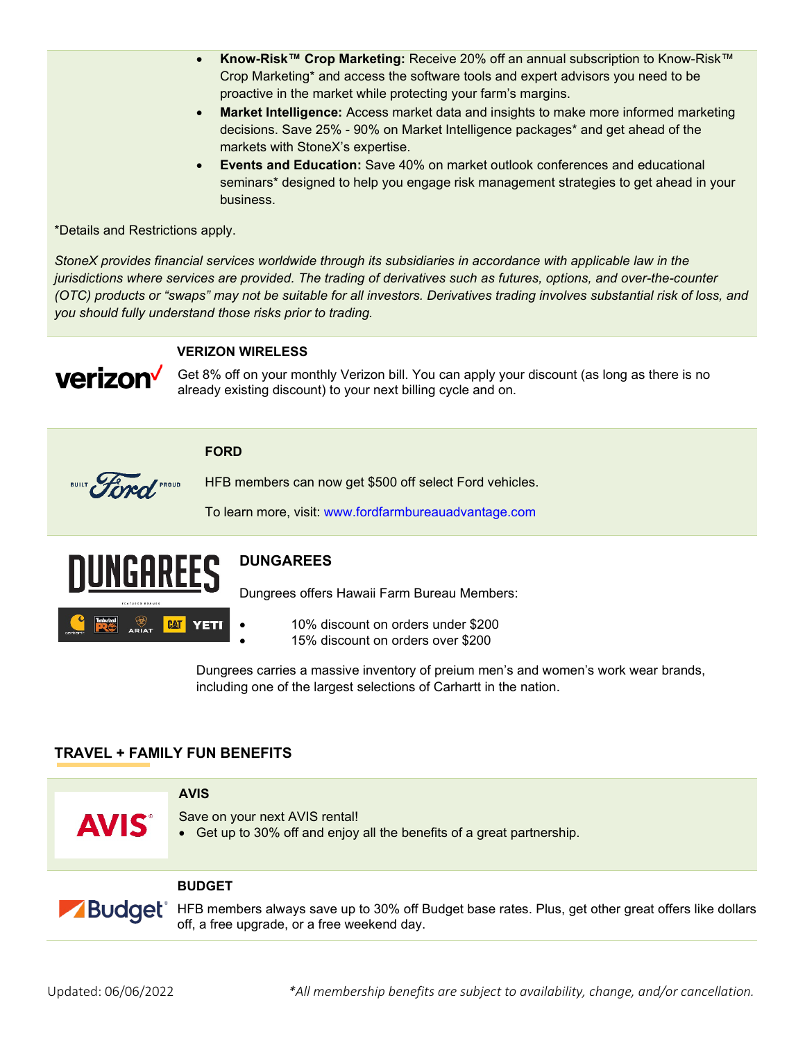- **Know-Risk™ Crop Marketing:** Receive 20% off an annual subscription to Know-Risk™ Crop Marketing\* and access the software tools and expert advisors you need to be proactive in the market while protecting your farm's margins.
- **Market Intelligence:** Access market data and insights to make more informed marketing decisions. Save 25% - 90% on Market Intelligence packages\* and get ahead of the markets with StoneX's expertise.
- **Events and Education:** Save 40% on market outlook conferences and educational seminars\* designed to help you engage risk management strategies to get ahead in your business.

\*Details and Restrictions apply.

*StoneX provides financial services worldwide through its subsidiaries in accordance with applicable law in the jurisdictions where services are provided. The trading of derivatives such as futures, options, and over-the-counter (OTC) products or "swaps" may not be suitable for all investors. Derivatives trading involves substantial risk of loss, and you should fully understand those risks prior to trading.*



#### **VERIZON WIRELESS**

Get 8% off on your monthly Verizon bill. You can apply your discount (as long as there is no already existing discount) to your next billing cycle and on.

#### **FORD**



HFB members can now get \$500 off select Ford vehicles.

To learn more, visit: www.fordfarmbureauadvantage.com



# **DUNGAREES**

Dungrees offers Hawaii Farm Bureau Members:

- 10% discount on orders under \$200
- 15% discount on orders over \$200

Dungrees carries a massive inventory of preium men's and women's work wear brands, including one of the largest selections of Carhartt in the nation.

## **TRAVEL + FAMILY FUN BENEFITS**

**AVIS**  Save on your next AVIS rental! **AVIS®** • Get up to 30% off and enjoy all the benefits of a great partnership.

#### **BUDGET**

**Budget**® HFB members always save up to 30% off Budget base rates. Plus, get other great [offers](https://www.budget.com/budgetWeb/content/deals.ex) like dollars off, a free upgrade, or a free weekend day.